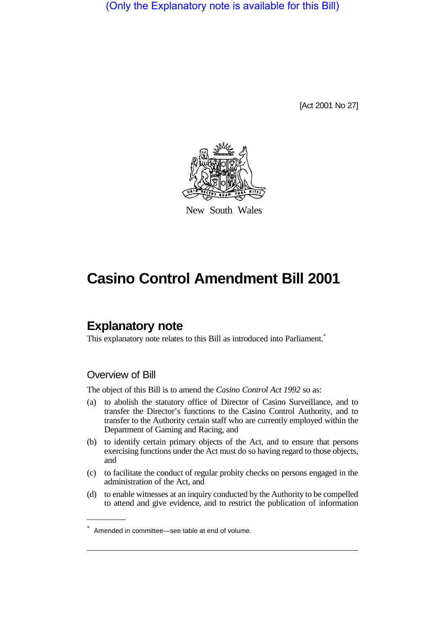(Only the Explanatory note is available for this Bill)

[Act 2001 No 27]



New South Wales

# **Casino Control Amendment Bill 2001**

# **Explanatory note**

This explanatory note relates to this Bill as introduced into Parliament.<sup>\*</sup>

### Overview of Bill

The object of this Bill is to amend the *Casino Control Act 1992* so as:

- (a) to abolish the statutory office of Director of Casino Surveillance, and to transfer the Director's functions to the Casino Control Authority, and to transfer to the Authority certain staff who are currently employed within the Department of Gaming and Racing, and
- (b) to identify certain primary objects of the Act, and to ensure that persons exercising functions under the Act must do so having regard to those objects, and
- (c) to facilitate the conduct of regular probity checks on persons engaged in the administration of the Act, and
- (d) to enable witnesses at an inquiry conducted by the Authority to be compelled to attend and give evidence, and to restrict the publication of information

<sup>\*</sup> Amended in committee—see table at end of volume.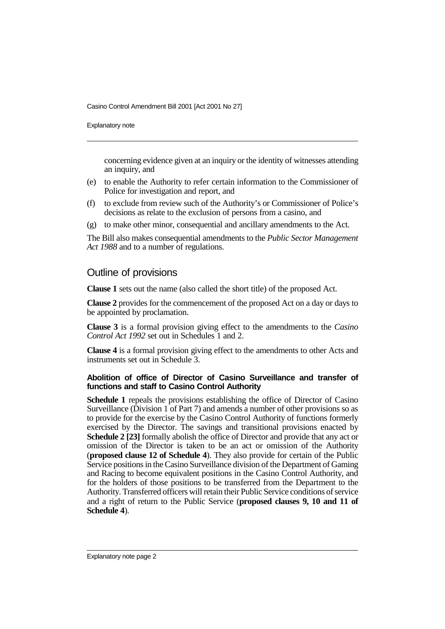Explanatory note

concerning evidence given at an inquiry or the identity of witnesses attending an inquiry, and

- (e) to enable the Authority to refer certain information to the Commissioner of Police for investigation and report, and
- (f) to exclude from review such of the Authority's or Commissioner of Police's decisions as relate to the exclusion of persons from a casino, and
- (g) to make other minor, consequential and ancillary amendments to the Act.

The Bill also makes consequential amendments to the *Public Sector Management Act 1988* and to a number of regulations.

## Outline of provisions

**Clause 1** sets out the name (also called the short title) of the proposed Act.

**Clause 2** provides for the commencement of the proposed Act on a day or days to be appointed by proclamation.

**Clause 3** is a formal provision giving effect to the amendments to the *Casino Control Act 1992* set out in Schedules 1 and 2.

**Clause 4** is a formal provision giving effect to the amendments to other Acts and instruments set out in Schedule 3.

#### **Abolition of office of Director of Casino Surveillance and transfer of functions and staff to Casino Control Authority**

**Schedule 1** repeals the provisions establishing the office of Director of Casino Surveillance (Division 1 of Part 7) and amends a number of other provisions so as to provide for the exercise by the Casino Control Authority of functions formerly exercised by the Director. The savings and transitional provisions enacted by **Schedule 2 [23]** formally abolish the office of Director and provide that any act or omission of the Director is taken to be an act or omission of the Authority (**proposed clause 12 of Schedule 4**). They also provide for certain of the Public Service positions in the Casino Surveillance division of the Department of Gaming and Racing to become equivalent positions in the Casino Control Authority, and for the holders of those positions to be transferred from the Department to the Authority. Transferred officers will retain their Public Service conditions of service and a right of return to the Public Service (**proposed clauses 9, 10 and 11 of Schedule 4**).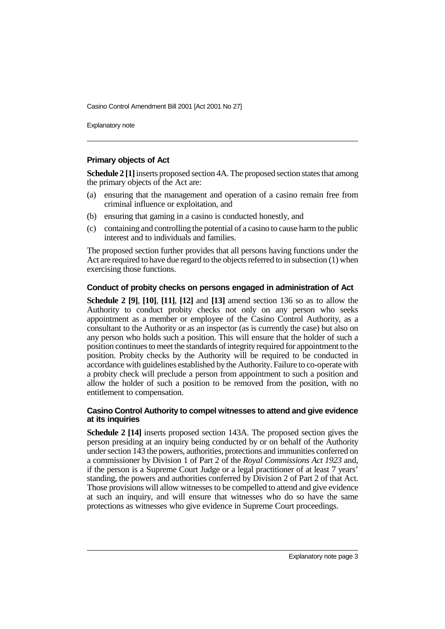Explanatory note

#### **Primary objects of Act**

**Schedule 2 [1]** inserts proposed section 4A. The proposed section states that among the primary objects of the Act are:

- (a) ensuring that the management and operation of a casino remain free from criminal influence or exploitation, and
- (b) ensuring that gaming in a casino is conducted honestly, and
- (c) containing and controlling the potential of a casino to cause harm to the public interest and to individuals and families.

The proposed section further provides that all persons having functions under the Act are required to have due regard to the objects referred to in subsection (1) when exercising those functions.

#### **Conduct of probity checks on persons engaged in administration of Act**

**Schedule 2 [9]**, **[10]**, **[11]**, **[12]** and **[13]** amend section 136 so as to allow the Authority to conduct probity checks not only on any person who seeks appointment as a member or employee of the Casino Control Authority, as a consultant to the Authority or as an inspector (as is currently the case) but also on any person who holds such a position. This will ensure that the holder of such a position continues to meet the standards of integrity required for appointment to the position. Probity checks by the Authority will be required to be conducted in accordance with guidelines established by the Authority. Failure to co-operate with a probity check will preclude a person from appointment to such a position and allow the holder of such a position to be removed from the position, with no entitlement to compensation.

#### **Casino Control Authority to compel witnesses to attend and give evidence at its inquiries**

**Schedule 2 [14]** inserts proposed section 143A. The proposed section gives the person presiding at an inquiry being conducted by or on behalf of the Authority under section 143 the powers, authorities, protections and immunities conferred on a commissioner by Division 1 of Part 2 of the *Royal Commissions Act 1923* and, if the person is a Supreme Court Judge or a legal practitioner of at least 7 years' standing, the powers and authorities conferred by Division 2 of Part 2 of that Act. Those provisions will allow witnesses to be compelled to attend and give evidence at such an inquiry, and will ensure that witnesses who do so have the same protections as witnesses who give evidence in Supreme Court proceedings.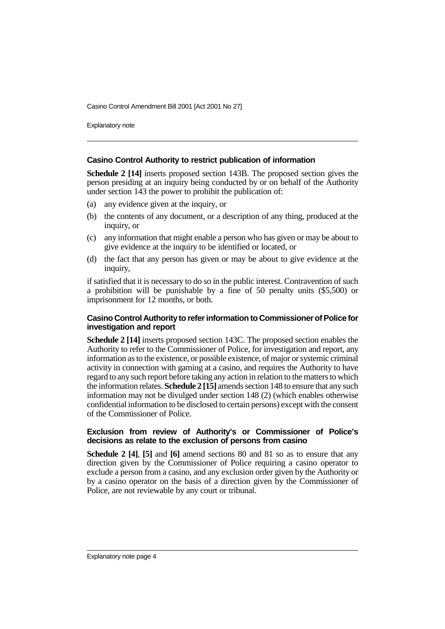Explanatory note

#### **Casino Control Authority to restrict publication of information**

**Schedule 2 [14]** inserts proposed section 143B. The proposed section gives the person presiding at an inquiry being conducted by or on behalf of the Authority under section 143 the power to prohibit the publication of:

- (a) any evidence given at the inquiry, or
- (b) the contents of any document, or a description of any thing, produced at the inquiry, or
- (c) any information that might enable a person who has given or may be about to give evidence at the inquiry to be identified or located, or
- (d) the fact that any person has given or may be about to give evidence at the inquiry,

if satisfied that it is necessary to do so in the public interest. Contravention of such a prohibition will be punishable by a fine of 50 penalty units (\$5,500) or imprisonment for 12 months, or both.

#### **Casino Control Authority to refer information to Commissioner of Police for investigation and report**

**Schedule 2 [14]** inserts proposed section 143C. The proposed section enables the Authority to refer to the Commissioner of Police, for investigation and report, any information as to the existence, or possible existence, of major or systemic criminal activity in connection with gaming at a casino, and requires the Authority to have regard to any such report before taking any action in relation to the matters to which the information relates. **Schedule 2 [15]** amends section 148 to ensure that any such information may not be divulged under section 148 (2) (which enables otherwise confidential information to be disclosed to certain persons) except with the consent of the Commissioner of Police.

#### **Exclusion from review of Authority's or Commissioner of Police's decisions as relate to the exclusion of persons from casino**

**Schedule 2 [4]**, **[5]** and **[6]** amend sections 80 and 81 so as to ensure that any direction given by the Commissioner of Police requiring a casino operator to exclude a person from a casino, and any exclusion order given by the Authority or by a casino operator on the basis of a direction given by the Commissioner of Police, are not reviewable by any court or tribunal.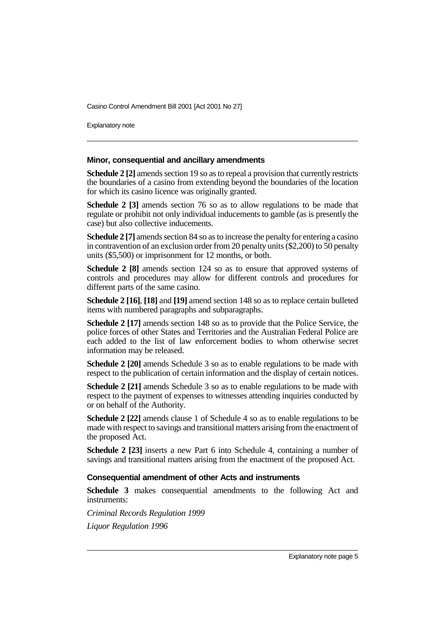Explanatory note

#### **Minor, consequential and ancillary amendments**

**Schedule 2 [2]** amends section 19 so as to repeal a provision that currently restricts the boundaries of a casino from extending beyond the boundaries of the location for which its casino licence was originally granted.

**Schedule 2 [3]** amends section 76 so as to allow regulations to be made that regulate or prohibit not only individual inducements to gamble (as is presently the case) but also collective inducements.

**Schedule 2 [7]** amends section 84 so as to increase the penalty for entering a casino in contravention of an exclusion order from 20 penalty units (\$2,200) to 50 penalty units (\$5,500) or imprisonment for 12 months, or both.

**Schedule 2 [8]** amends section 124 so as to ensure that approved systems of controls and procedures may allow for different controls and procedures for different parts of the same casino.

**Schedule 2 [16]**, **[18]** and **[19]** amend section 148 so as to replace certain bulleted items with numbered paragraphs and subparagraphs.

**Schedule 2 [17]** amends section 148 so as to provide that the Police Service, the police forces of other States and Territories and the Australian Federal Police are each added to the list of law enforcement bodies to whom otherwise secret information may be released.

**Schedule 2 [20]** amends Schedule 3 so as to enable regulations to be made with respect to the publication of certain information and the display of certain notices.

**Schedule 2 [21]** amends Schedule 3 so as to enable regulations to be made with respect to the payment of expenses to witnesses attending inquiries conducted by or on behalf of the Authority.

**Schedule 2 [22]** amends clause 1 of Schedule 4 so as to enable regulations to be made with respect to savings and transitional matters arising from the enactment of the proposed Act.

**Schedule 2 [23]** inserts a new Part 6 into Schedule 4, containing a number of savings and transitional matters arising from the enactment of the proposed Act.

#### **Consequential amendment of other Acts and instruments**

**Schedule 3** makes consequential amendments to the following Act and instruments:

*Criminal Records Regulation 1999 Liquor Regulation 1996*